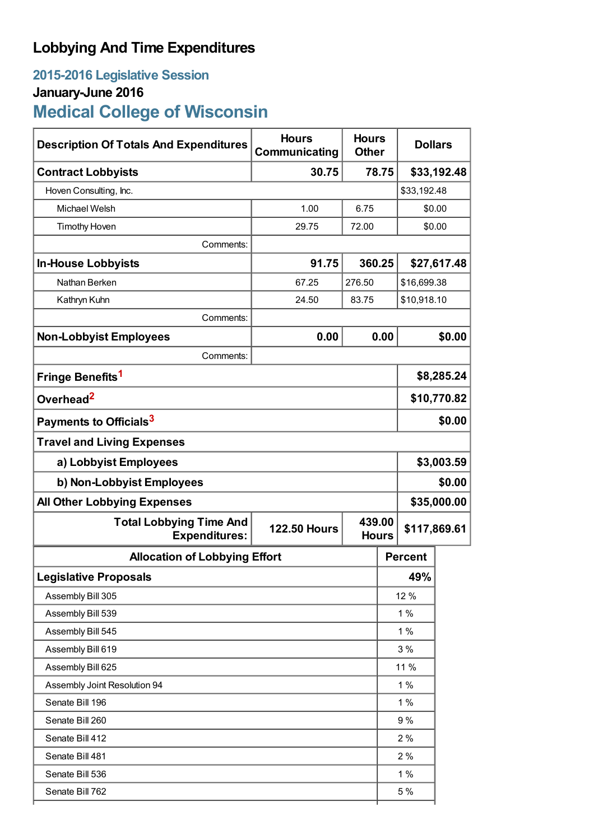## **Lobbying And Time Expenditures**

## **2015-2016 Legislative Session January-June 2016 Medical College of Wisconsin**

| <b>Description Of Totals And Expenditures</b>          | <b>Hours</b><br>Communicating | <b>Hours</b><br><b>Dollars</b><br><b>Other</b> |                |             |  |  |
|--------------------------------------------------------|-------------------------------|------------------------------------------------|----------------|-------------|--|--|
| <b>Contract Lobbyists</b>                              | 30.75<br>78.75                |                                                |                | \$33,192.48 |  |  |
| Hoven Consulting, Inc.                                 |                               |                                                |                | \$33,192.48 |  |  |
| Michael Welsh                                          | 1.00                          | 6.75                                           |                | \$0.00      |  |  |
| <b>Timothy Hoven</b>                                   | 29.75                         | 72.00                                          |                | \$0.00      |  |  |
| Comments:                                              |                               |                                                |                |             |  |  |
| <b>In-House Lobbyists</b>                              | 91.75                         | 360.25                                         |                | \$27,617.48 |  |  |
| Nathan Berken                                          | 67.25                         | 276.50                                         | \$16,699.38    |             |  |  |
| Kathryn Kuhn                                           | 24.50                         | 83.75                                          | \$10,918.10    |             |  |  |
| Comments:                                              |                               |                                                |                |             |  |  |
| <b>Non-Lobbyist Employees</b>                          | 0.00                          | 0.00                                           |                | \$0.00      |  |  |
| Comments:                                              |                               |                                                |                |             |  |  |
| Fringe Benefits <sup>1</sup>                           |                               |                                                | \$8,285.24     |             |  |  |
| Overhead <sup>2</sup>                                  |                               |                                                | \$10,770.82    |             |  |  |
| Payments to Officials <sup>3</sup>                     |                               |                                                |                | \$0.00      |  |  |
| <b>Travel and Living Expenses</b>                      |                               |                                                |                |             |  |  |
| a) Lobbyist Employees                                  |                               |                                                | \$3,003.59     |             |  |  |
| b) Non-Lobbyist Employees                              |                               |                                                | \$0.00         |             |  |  |
| <b>All Other Lobbying Expenses</b>                     |                               |                                                | \$35,000.00    |             |  |  |
| <b>Total Lobbying Time And</b><br><b>Expenditures:</b> | <b>122.50 Hours</b>           | 439.00<br><b>Hours</b>                         | \$117,869.61   |             |  |  |
| <b>Allocation of Lobbying Effort</b>                   |                               |                                                | <b>Percent</b> |             |  |  |
| <b>Legislative Proposals</b>                           |                               |                                                | 49%            |             |  |  |
| Assembly Bill 305                                      |                               |                                                | 12 %           |             |  |  |
| Assembly Bill 539                                      |                               |                                                | 1%             |             |  |  |
| Assembly Bill 545                                      |                               |                                                | 1%             |             |  |  |
| Assembly Bill 619                                      |                               |                                                | 3%             |             |  |  |
| Assembly Bill 625                                      |                               |                                                | 11 %           |             |  |  |
| Assembly Joint Resolution 94                           |                               |                                                | 1%             |             |  |  |
| Senate Bill 196                                        |                               |                                                | 1%             |             |  |  |
| Senate Bill 260                                        |                               |                                                | 9%             |             |  |  |
| Senate Bill 412                                        |                               |                                                | 2%             |             |  |  |
| Senate Bill 481                                        |                               |                                                | 2%             |             |  |  |
| Senate Bill 536                                        |                               |                                                | 1%             |             |  |  |
| Senate Bill 762                                        |                               |                                                | 5 %            |             |  |  |